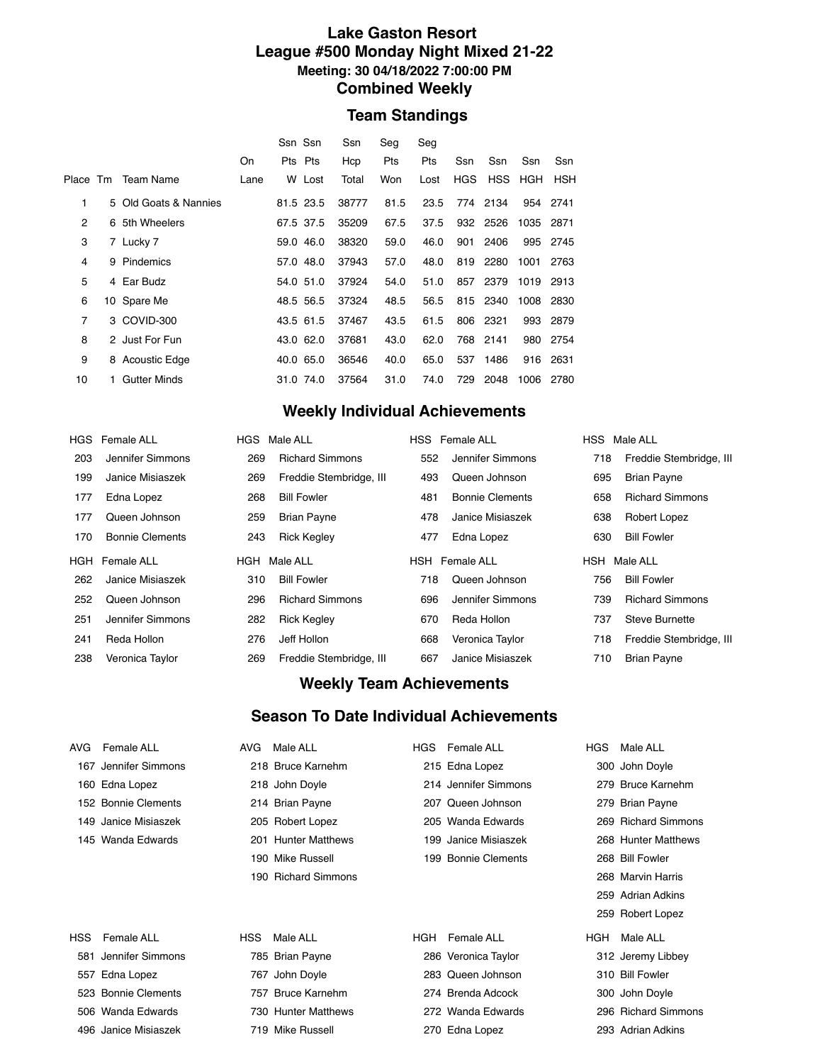#### **Lake Gaston Resort League #500 Monday Night Mixed 21-22 Meeting: 30 04/18/2022 7:00:00 PM Combined Weekly**

#### **Team Standings**

|                |                       |      | Ssn Ssn |           | Ssn   | Seg  | Seg  |            |          |           |          |
|----------------|-----------------------|------|---------|-----------|-------|------|------|------------|----------|-----------|----------|
|                |                       | On   | Pts Pts |           | Hcp   | Pts  | Pts  | Ssn        | Ssn      | Ssn       | Ssn      |
| Place Tm       | Team Name             | Lane |         | W Lost    | Total | Won  | Lost | <b>HGS</b> |          | HSS HGH   | HSH      |
| 1              | 5 Old Goats & Nannies |      |         | 81.5 23.5 | 38777 | 81.5 | 23.5 |            | 774 2134 |           | 954 2741 |
| $\overline{2}$ | 6 5th Wheelers        |      |         | 67.5 37.5 | 35209 | 67.5 | 37.5 |            | 932 2526 | 1035 2871 |          |
| 3              | 7 Lucky 7             |      |         | 59.0 46.0 | 38320 | 59.0 | 46.0 | 901        | 2406     | 995       | 2745     |
| 4              | 9 Pindemics           |      |         | 57.0 48.0 | 37943 | 57.0 | 48.0 | 819        | 2280     | 1001      | 2763     |
| 5              | 4 Ear Budz            |      |         | 54.0 51.0 | 37924 | 54.0 | 51.0 | 857        | 2379     | 1019 2913 |          |
| 6              | 10 Spare Me           |      |         | 48.5 56.5 | 37324 | 48.5 | 56.5 |            | 815 2340 | 1008 2830 |          |
| $\overline{7}$ | 3 COVID-300           |      |         | 43.5 61.5 | 37467 | 43.5 | 61.5 |            | 806 2321 |           | 993 2879 |
| 8              | 2 Just For Fun        |      |         | 43.0 62.0 | 37681 | 43.0 | 62.0 |            | 768 2141 |           | 980 2754 |
| 9              | 8 Acoustic Edge       |      |         | 40.0 65.0 | 36546 | 40.0 | 65.0 | 537        | 1486     |           | 916 2631 |
| 10             | <b>Gutter Minds</b>   |      |         | 31.0 74.0 | 37564 | 31.0 | 74.0 | 729        | 2048     | 1006      | 2780     |
|                |                       |      |         |           |       |      |      |            |          |           |          |

# **Weekly Individual Achievements**

|     | HGS Female ALL         |     | HGS Male ALL            |     | HSS Female ALL         | HSS Male ALL |                         |
|-----|------------------------|-----|-------------------------|-----|------------------------|--------------|-------------------------|
| 203 | Jennifer Simmons       | 269 | <b>Richard Simmons</b>  | 552 | Jennifer Simmons       | 718          | Freddie Stembridge, III |
| 199 | Janice Misiaszek       | 269 | Freddie Stembridge, III | 493 | Queen Johnson          | 695          | <b>Brian Payne</b>      |
| 177 | Edna Lopez             | 268 | <b>Bill Fowler</b>      | 481 | <b>Bonnie Clements</b> | 658          | <b>Richard Simmons</b>  |
| 177 | Queen Johnson          | 259 | <b>Brian Payne</b>      | 478 | Janice Misiaszek       | 638          | Robert Lopez            |
| 170 | <b>Bonnie Clements</b> | 243 | <b>Rick Kegley</b>      | 477 | Edna Lopez             | 630          | <b>Bill Fowler</b>      |
|     | Male ALL<br>HGH        |     |                         |     |                        |              |                         |
|     | HGH Female ALL         |     |                         |     | <b>HSH</b> Female ALL  | HSH Male ALL |                         |
| 262 | Janice Misiaszek       | 310 | <b>Bill Fowler</b>      | 718 | Queen Johnson          | 756          | <b>Bill Fowler</b>      |
| 252 | Queen Johnson          | 296 | <b>Richard Simmons</b>  | 696 | Jennifer Simmons       | 739          | <b>Richard Simmons</b>  |
| 251 | Jennifer Simmons       | 282 | <b>Rick Kegley</b>      | 670 | Reda Hollon            | 737          | <b>Steve Burnette</b>   |
| 241 | Reda Hollon            | 276 | Jeff Hollon             | 668 | Veronica Taylor        | 718          | Freddie Stembridge, III |

#### **Weekly Team Achievements**

### **Season To Date Individual Achievements**

| AVG  | Female ALL           | AVG.       | Male ALL            | HGS | Female ALL           | <b>HGS</b> | Male ALL            |
|------|----------------------|------------|---------------------|-----|----------------------|------------|---------------------|
|      | 167 Jennifer Simmons |            | 218 Bruce Karnehm   |     | 215 Edna Lopez       |            | 300 John Doyle      |
|      | 160 Edna Lopez       |            | 218 John Doyle      |     | 214 Jennifer Simmons |            | 279 Bruce Karnehm   |
|      | 152 Bonnie Clements  |            | 214 Brian Payne     |     | 207 Queen Johnson    |            | 279 Brian Payne     |
|      | 149 Janice Misiaszek |            | 205 Robert Lopez    |     | 205 Wanda Edwards    |            | 269 Richard Simmons |
|      | 145 Wanda Edwards    |            | 201 Hunter Matthews |     | 199 Janice Misiaszek |            | 268 Hunter Matthews |
|      |                      |            | 190 Mike Russell    |     | 199 Bonnie Clements  |            | 268 Bill Fowler     |
|      |                      |            | 190 Richard Simmons |     |                      |            | 268 Marvin Harris   |
|      |                      |            |                     |     |                      |            | 259 Adrian Adkins   |
|      |                      |            |                     |     |                      |            | 259 Robert Lopez    |
| HSS. | Female ALL           | <b>HSS</b> | Male ALL            | HGH | Female ALL           | HGH        | Male ALL            |
|      | 581 Jennifer Simmons |            | 785 Brian Payne     |     | 286 Veronica Taylor  |            | 312 Jeremy Libbey   |
|      | 557 Edna Lopez       |            | 767 John Doyle      |     | 283 Queen Johnson    |            | 310 Bill Fowler     |
|      | 523 Bonnie Clements  |            | 757 Bruce Karnehm   |     | 274 Brenda Adcock    |            | 300 John Doyle      |
|      | 506 Wanda Edwards    |            | 730 Hunter Matthews |     | 272 Wanda Edwards    |            | 296 Richard Simmons |
|      | 496 Janice Misiaszek |            | 719 Mike Russell    |     | 270 Edna Lopez       |            | 293 Adrian Adkins   |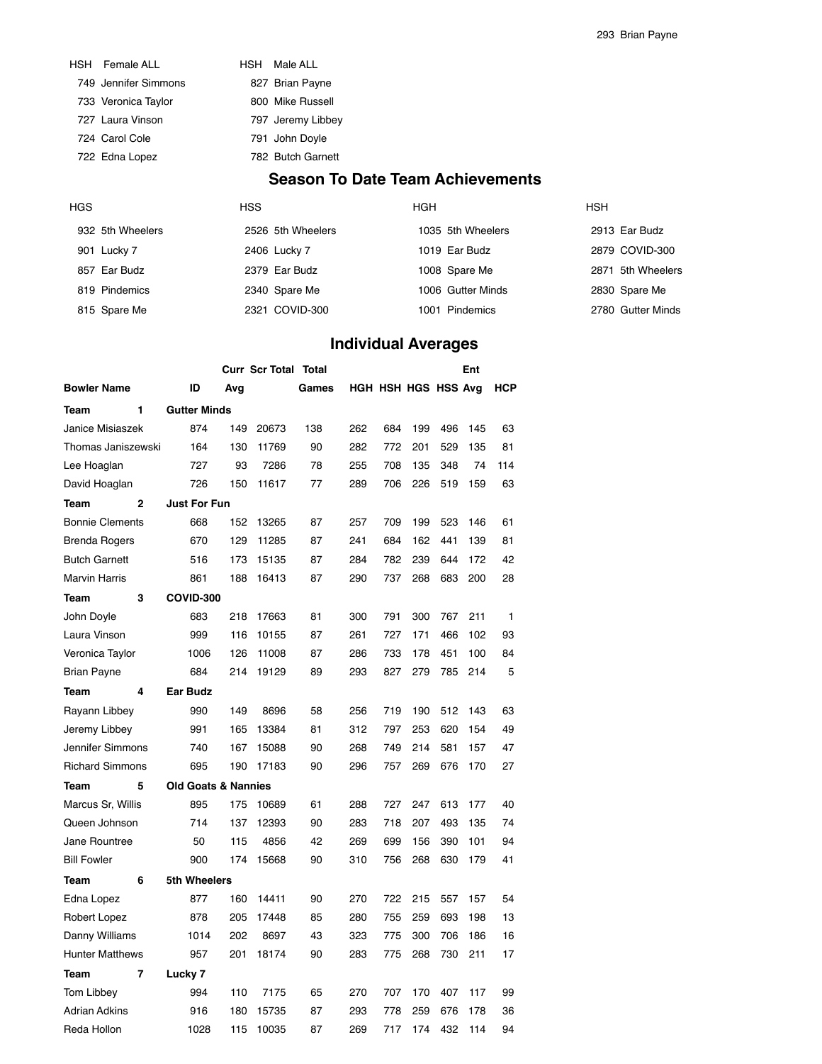|                      | <b>Season To</b>  |
|----------------------|-------------------|
| 722 Edna Lopez       | 782 Butch Garnett |
| 724 Carol Cole       | 791 John Doyle    |
| 727 Laura Vinson     | 797 Jeremy Libbey |
| 733 Veronica Taylor  | 800 Mike Russell  |
| 749 Jennifer Simmons | 827 Brian Payne   |
| HSH Female ALL       | HSH Male ALL      |

## **Date Team Achievements**

| HGS |                  | <b>HSS</b>        | <b>HGH</b>        | <b>HSH</b>        |
|-----|------------------|-------------------|-------------------|-------------------|
|     | 932 5th Wheelers | 2526 5th Wheelers | 1035 5th Wheelers | 2913 Ear Budz     |
|     | 901 Lucky 7      | 2406 Lucky 7      | 1019 Ear Budz     | 2879 COVID-300    |
|     | 857 Ear Budz     | 2379 Ear Budz     | 1008 Spare Me     | 2871 5th Wheelers |
|     | 819 Pindemics    | 2340 Spare Me     | 1006 Gutter Minds | 2830 Spare Me     |
|     | 815 Spare Me     | 2321 COVID-300    | 1001 Pindemics    | 2780 Gutter Minds |

# **Individual Averages**

|                        |                                |     | <b>Curr Scr Total</b> | Total |     |     |                     |     | Ent |            |
|------------------------|--------------------------------|-----|-----------------------|-------|-----|-----|---------------------|-----|-----|------------|
| <b>Bowler Name</b>     | ID                             | Avg |                       | Games |     |     | HGH HSH HGS HSS Avg |     |     | <b>HCP</b> |
| 1<br>Team              | <b>Gutter Minds</b>            |     |                       |       |     |     |                     |     |     |            |
| Janice Misiaszek       | 874                            | 149 | 20673                 | 138   | 262 | 684 | 199                 | 496 | 145 | 63         |
| Thomas Janiszewski     | 164                            | 130 | 11769                 | 90    | 282 | 772 | 201                 | 529 | 135 | 81         |
| Lee Hoaglan            | 727                            | 93  | 7286                  | 78    | 255 | 708 | 135                 | 348 | 74  | 114        |
| David Hoaglan          | 726                            | 150 | 11617                 | 77    | 289 | 706 | 226                 | 519 | 159 | 63         |
| $\mathbf{2}$<br>Team   | <b>Just For Fun</b>            |     |                       |       |     |     |                     |     |     |            |
| <b>Bonnie Clements</b> | 668                            | 152 | 13265                 | 87    | 257 | 709 | 199                 | 523 | 146 | 61         |
| <b>Brenda Rogers</b>   | 670                            | 129 | 11285                 | 87    | 241 | 684 | 162                 | 441 | 139 | 81         |
| <b>Butch Garnett</b>   | 516                            | 173 | 15135                 | 87    | 284 | 782 | 239                 | 644 | 172 | 42         |
| <b>Marvin Harris</b>   | 861                            | 188 | 16413                 | 87    | 290 | 737 | 268                 | 683 | 200 | 28         |
| 3<br>Team              | COVID-300                      |     |                       |       |     |     |                     |     |     |            |
| John Doyle             | 683                            | 218 | 17663                 | 81    | 300 | 791 | 300                 | 767 | 211 | 1          |
| Laura Vinson           | 999                            | 116 | 10155                 | 87    | 261 | 727 | 171                 | 466 | 102 | 93         |
| Veronica Taylor        | 1006                           | 126 | 11008                 | 87    | 286 | 733 | 178                 | 451 | 100 | 84         |
| <b>Brian Payne</b>     | 684                            | 214 | 19129                 | 89    | 293 | 827 | 279                 | 785 | 214 | 5          |
| Team<br>4              | <b>Ear Budz</b>                |     |                       |       |     |     |                     |     |     |            |
| Rayann Libbey          | 990                            | 149 | 8696                  | 58    | 256 | 719 | 190                 | 512 | 143 | 63         |
| Jeremy Libbey          | 991                            | 165 | 13384                 | 81    | 312 | 797 | 253                 | 620 | 154 | 49         |
| Jennifer Simmons       | 740                            | 167 | 15088                 | 90    | 268 | 749 | 214                 | 581 | 157 | 47         |
| <b>Richard Simmons</b> | 695                            | 190 | 17183                 | 90    | 296 | 757 | 269                 | 676 | 170 | 27         |
| 5<br>Team              | <b>Old Goats &amp; Nannies</b> |     |                       |       |     |     |                     |     |     |            |
| Marcus Sr, Willis      | 895                            | 175 | 10689                 | 61    | 288 | 727 | 247                 | 613 | 177 | 40         |
| Queen Johnson          | 714                            | 137 | 12393                 | 90    | 283 | 718 | 207                 | 493 | 135 | 74         |
| Jane Rountree          | 50                             | 115 | 4856                  | 42    | 269 | 699 | 156                 | 390 | 101 | 94         |
| <b>Bill Fowler</b>     | 900                            | 174 | 15668                 | 90    | 310 | 756 | 268                 | 630 | 179 | 41         |
| 6<br>Team              | 5th Wheelers                   |     |                       |       |     |     |                     |     |     |            |
| Edna Lopez             | 877                            | 160 | 14411                 | 90    | 270 | 722 | 215                 | 557 | 157 | 54         |
| Robert Lopez           | 878                            | 205 | 17448                 | 85    | 280 | 755 | 259                 | 693 | 198 | 13         |
| Danny Williams         | 1014                           | 202 | 8697                  | 43    | 323 | 775 | 300                 | 706 | 186 | 16         |
| <b>Hunter Matthews</b> | 957                            | 201 | 18174                 | 90    | 283 | 775 | 268                 | 730 | 211 | 17         |
| Team<br>7              | Lucky <sub>7</sub>             |     |                       |       |     |     |                     |     |     |            |
| Tom Libbey             | 994                            | 110 | 7175                  | 65    | 270 | 707 | 170                 | 407 | 117 | 99         |
| <b>Adrian Adkins</b>   | 916                            | 180 | 15735                 | 87    | 293 | 778 | 259                 | 676 | 178 | 36         |
| Reda Hollon            | 1028                           | 115 | 10035                 | 87    | 269 | 717 | 174                 | 432 | 114 | 94         |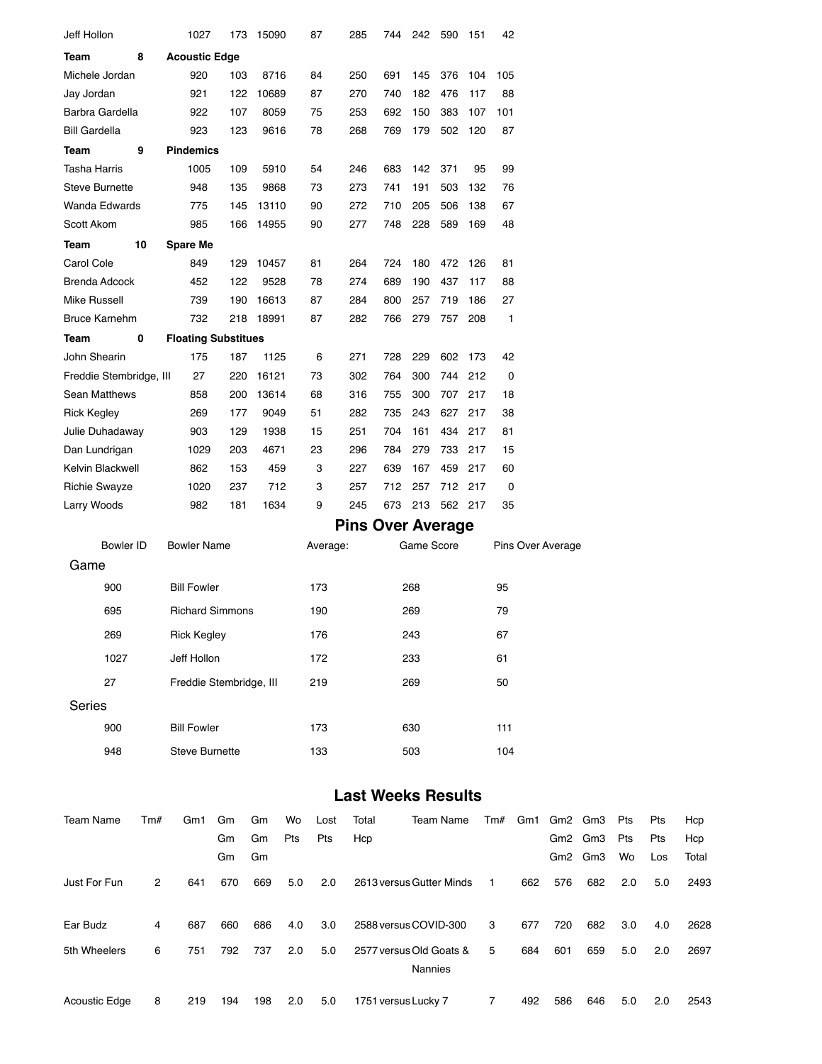| Jeff Hollon             |     | 1027                       |     | 173 15090 |     | 87<br>285 | 744                       | 242        | 590         | 151     | 42           |     |                   |         |     |     |       |
|-------------------------|-----|----------------------------|-----|-----------|-----|-----------|---------------------------|------------|-------------|---------|--------------|-----|-------------------|---------|-----|-----|-------|
| Team                    | 8   | <b>Acoustic Edge</b>       |     |           |     |           |                           |            |             |         |              |     |                   |         |     |     |       |
| Michele Jordan          |     | 920                        | 103 | 8716      |     | 250<br>84 | 691                       | 145        | 376         | 104     | 105          |     |                   |         |     |     |       |
| Jay Jordan              |     | 921                        | 122 | 10689     |     | 270<br>87 | 740                       | 182        | 476         | 117     | 88           |     |                   |         |     |     |       |
| Barbra Gardella         |     | 922                        | 107 | 8059      |     | 75<br>253 | 692                       | 150        | 383         | 107     | 101          |     |                   |         |     |     |       |
| Bill Gardella           |     | 923                        | 123 | 9616      |     | 78<br>268 | 769                       | 179        | 502         | 120     | 87           |     |                   |         |     |     |       |
| Team                    | 9   | <b>Pindemics</b>           |     |           |     |           |                           |            |             |         |              |     |                   |         |     |     |       |
| Tasha Harris            |     | 1005                       | 109 | 5910      |     | 54<br>246 | 683                       | 142        | 371         | 95      | 99           |     |                   |         |     |     |       |
| Steve Burnette          |     | 948                        | 135 | 9868      |     | 273<br>73 | 741                       | 191        | 503         | 132     | 76           |     |                   |         |     |     |       |
| Wanda Edwards           |     | 775                        | 145 | 13110     |     | 272<br>90 | 710                       | 205        | 506         | 138     | 67           |     |                   |         |     |     |       |
| Scott Akom              |     | 985                        | 166 | 14955     |     | 90<br>277 | 748                       | 228        | 589         | 169     | 48           |     |                   |         |     |     |       |
| Team                    | 10  | <b>Spare Me</b>            |     |           |     |           |                           |            |             |         |              |     |                   |         |     |     |       |
| Carol Cole              |     | 849                        | 129 | 10457     |     | 264<br>81 | 724                       | 180        | 472         | 126     | 81           |     |                   |         |     |     |       |
| Brenda Adcock           |     | 452                        | 122 | 9528      |     | 78<br>274 | 689                       | 190        | 437         | 117     | 88           |     |                   |         |     |     |       |
| Mike Russell            |     | 739                        | 190 | 16613     |     | 87<br>284 | 800                       | 257        | 719         | 186     | 27           |     |                   |         |     |     |       |
| Bruce Karnehm           |     | 732                        |     | 218 18991 |     | 87<br>282 | 766                       | 279        | 757         | 208     | $\mathbf{1}$ |     |                   |         |     |     |       |
| Team                    | 0   | <b>Floating Substitues</b> |     |           |     |           |                           |            |             |         |              |     |                   |         |     |     |       |
| John Shearin            |     | 175                        | 187 | 1125      |     | 6<br>271  | 728                       | 229        | 602         | 173     | 42           |     |                   |         |     |     |       |
| Freddie Stembridge, III |     | 27                         | 220 | 16121     |     | 73<br>302 | 764                       | 300        | 744         | 212     | 0            |     |                   |         |     |     |       |
| Sean Matthews           |     | 858                        | 200 | 13614     |     | 68<br>316 | 755                       | 300        | 707         | 217     | 18           |     |                   |         |     |     |       |
| Rick Kegley             |     | 269                        | 177 | 9049      |     | 51<br>282 | 735                       | 243        | 627         | 217     | 38           |     |                   |         |     |     |       |
| Julie Duhadaway         |     | 903                        | 129 | 1938      |     | 15<br>251 | 704                       | 161        |             | 434 217 | 81           |     |                   |         |     |     |       |
| Dan Lundrigan           |     | 1029                       | 203 | 4671      |     | 23<br>296 | 784                       | 279        | 733         | 217     | 15           |     |                   |         |     |     |       |
| Kelvin Blackwell        |     | 862                        | 153 | 459       |     | 3<br>227  | 639                       | 167        | 459         | 217     | 60           |     |                   |         |     |     |       |
| Richie Swayze           |     | 1020                       | 237 | 712       |     | 3<br>257  | 712                       | 257        | 712 217     |         | 0            |     |                   |         |     |     |       |
| Larry Woods             |     | 982                        | 181 | 1634      |     | 9<br>245  | 673                       |            | 213 562 217 |         | 35           |     |                   |         |     |     |       |
|                         |     |                            |     |           |     |           | <b>Pins Over Average</b>  |            |             |         |              |     |                   |         |     |     |       |
| <b>Bowler ID</b>        |     | <b>Bowler Name</b>         |     |           |     | Average:  |                           | Game Score |             |         |              |     | Pins Over Average |         |     |     |       |
| Game                    |     |                            |     |           |     |           |                           |            |             |         |              |     |                   |         |     |     |       |
| 900                     |     | <b>Bill Fowler</b>         |     |           |     | 173       |                           | 268        |             |         | 95           |     |                   |         |     |     |       |
| 695                     |     | <b>Richard Simmons</b>     |     |           |     | 190       |                           | 269        |             |         | 79           |     |                   |         |     |     |       |
|                         |     | <b>Rick Kegley</b>         |     |           |     |           |                           |            |             |         |              |     |                   |         |     |     |       |
| 269                     |     |                            |     |           |     | 176       |                           | 243        |             |         | 67           |     |                   |         |     |     |       |
| 1027                    |     | Jeff Hollon                |     |           |     | 172       |                           | 233        |             |         | 61           |     |                   |         |     |     |       |
| 27                      |     | Freddie Stembridge, III    |     |           |     | 219       |                           | 269        |             |         | 50           |     |                   |         |     |     |       |
| Series                  |     |                            |     |           |     |           |                           |            |             |         |              |     |                   |         |     |     |       |
| 900                     |     | <b>Bill Fowler</b>         |     |           |     | 173       |                           | 630        |             |         | 111          |     |                   |         |     |     |       |
| 948                     |     | <b>Steve Burnette</b>      |     |           |     | 133       |                           | 503        |             |         | 104          |     |                   |         |     |     |       |
|                         |     |                            |     |           |     |           | <b>Last Weeks Results</b> |            |             |         |              |     |                   |         |     |     |       |
|                         |     |                            |     |           |     |           |                           |            |             |         |              |     |                   |         |     |     |       |
| <b>Team Name</b>        | Tm# | Gm1                        | Gm  | Gm        | Wo  | Lost      | Total                     |            | Team Name   |         | Tm#          | Gm1 |                   | Gm2 Gm3 | Pts | Pts | Hcp   |
|                         |     |                            | Gm  | Gm        | Pts | Pts       | Hcp                       |            |             |         |              |     |                   | Gm2 Gm3 | Pts | Pts | Hcp   |
|                         |     |                            | Gm  | Gm        |     |           |                           |            |             |         |              |     |                   | Gm2 Gm3 | Wo  | Los | Total |
|                         |     |                            |     |           |     |           |                           |            |             |         |              |     |                   |         |     |     |       |

| Just For Fun  | $^{2}$ | 641 | 670 | 669 | 5.0 | 2.0 | 2613 versus Gutter Minds                  | $\overline{1}$ | 662 | 576 | 682 | 2.0 | 5.0 | 2493 |
|---------------|--------|-----|-----|-----|-----|-----|-------------------------------------------|----------------|-----|-----|-----|-----|-----|------|
| Ear Budz      | 4      | 687 | 660 | 686 | 4.0 | 3.0 | 2588 versus COVID-300                     | 3              | 677 | 720 | 682 | 3.0 | 4.0 | 2628 |
| 5th Wheelers  | 6      | 751 | 792 | 737 | 2.0 | 5.0 | 2577 versus Old Goats &<br><b>Nannies</b> | 5              | 684 | 601 | 659 | 5.0 | 2.0 | 2697 |
| Acoustic Edge | 8      | 219 | 194 | 198 | 2.0 | 5.0 | 1751 versus Lucky 7                       | 7              | 492 | 586 | 646 | 5.0 | 2.0 | 2543 |